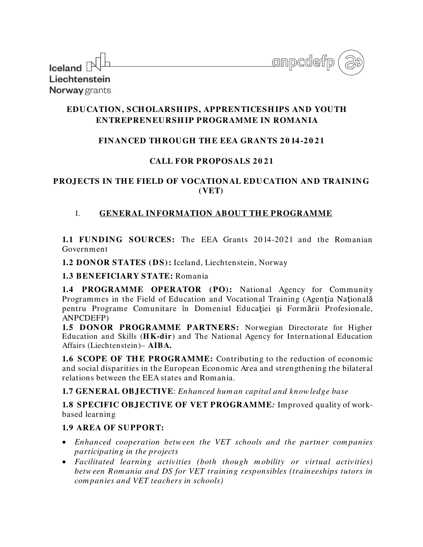| Iceland $\mathbb P$  | onpcdefp ,<br>$\overline{\phantom{a}}$ |
|----------------------|----------------------------------------|
|                      |                                        |
| Liechtenstein        |                                        |
| <b>Norway</b> grants |                                        |

## **EDUCATION, SCH OLARSH IPS, APPRENTICESH IPS AND YOUTH ENTREPRENEURSH IP PROGRAMME IN ROMANIA**

## **FINANCED THROUGH THE EEA GRANTS 2014-2021**

## CALL FOR PROPOSALS 2021

### **PROJECTS IN TH E FIELD OF VOCATIONAL EDUCATION AND TRAINING (VET)**

## 1. **GENERAL INFORMATION ABOUT THE PROGRAMME**

**1.1 FUNDING SOURCES:** The EEA Grants 2014-2021 and the Romanian Government

**1.2 DONOR STATES (DS):** Iceland, Liechtenstein, Norway

### **1.3 BENEFICIARY STATE:** Romania

**1.4 PROGRAMME OPERATOR (PO):** National Agency for Community Programmes in the Field of Education and Vocational Training (Agenţia Naţională pentru Programe Comunitare în Domeniul Educației și Formării Profesionale, ANPCDEFP)

**1.5 DONOR PROGRAMME PARTNERS:** Norwegian Directorate for Higher Education and Skills (**H K-dir**) and The National Agency for International Education Affairs (Liechtenstein)– **AIBA.** 

**1.6 SCOPE OF THE PROGRAMME:** Contributing to the reduction of economic and social disparities in the European Economic Area and strengthening the bilateral relations between the EEA states and Romania.

**1.7 GENERAL OBJECTIVE**: *Enhanced hum an capital and know ledge base*

**1.8 SPECIFIC OBJECTIVE OF VET PROGRAMME***:* Improved quality of workbased learning

## **1.9 AREA OF SUPPORT:**

- *Enhanced cooperation betw een the VET schools and the partner com panies participating in the projects*
- *Facilitated learning activities (both though m obility or virtual activities) betw een Rom ania and DS for VET training responsibles (traineeships tutors in com panies and VET teachers in schools)*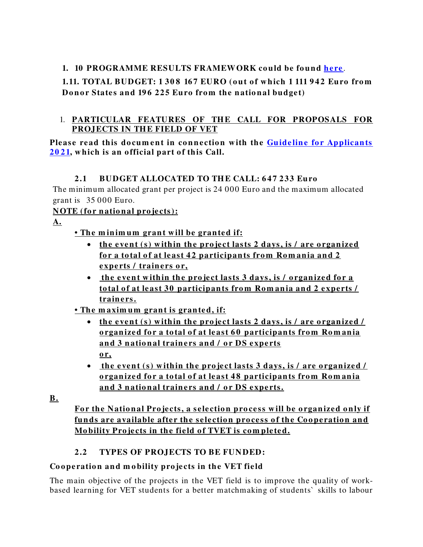# **1. 10 PROGRAMME RESULTS FRAMEW ORK could be found here.**

# **1.11. TOTAL BUDGET: 1 308 167 EURO (out of which 1 111 942 Euro from Donor States and 196 225 Euro from the national budget)**

## 1. **PARTICULAR FEATURES OF THE CALL FOR PROPOSALS FOR PROJECTS IN THE FIELD OF VET**

Please read this document in connection with the **Guideline for Applicants 2 0 [2 1,](https://www.eea4edu.ro/wp-content/uploads/2021/08/Guide_VET_2021_EN.pdf) w hich is an o fficial part o f this Call.**

# **2 .1 BUDGET ALLOCATED TO TH E CALL: 6 4 7 2 33 Euro**

The minimum allocated grant per project is 24 000 Euro and the maximum allocated grant is 35 000 Euro.

# **NOTE** (for national projects):

**A.**

# • The minimum grant will be granted if:

- the event (s) within the project lasts 2 days, is / are organized <u>for a total of at least 42 participants from Romania and 2</u> experts / trainers or,
- the event within the project lasts 3 days, is / organized for a **total of at least 30 participants from Romania and 2 experts / train e rs.**
- **The m axim um gran t is gran ted, if:**
	- the event (s) within the project lasts 2 days, is / are organized / **<u>organized for a total of at least 60 participants from Romania</u>** and 3 national trainers and / or DS experts **o r,**
	- the event (s) within the project lasts 3 days, is / are organized / **o rgan ize d fo r a to tal o f at least 4 8 participan ts fro m Ro m an ia**  and 3 national trainers and / or DS experts.

**B.**

For the National Projects, a selection process will be organized only if funds are available after the selection process of the Cooperation and **Mo bility Pro je cts in the fie ld o f TVET is co m ple te d.** 

# **2.2 TYPES OF PROJECTS TO BE FUNDED:**

# Cooperation and mobility projects in the VET field

The main objective of the projects in the VET field is to improve the quality of workbased learning for VET students for a better matchmaking of students` skills to labour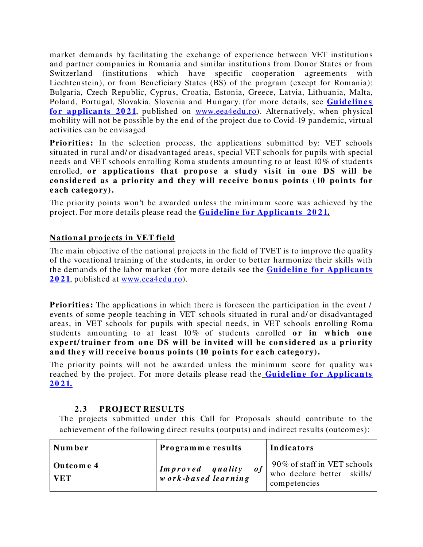market demands by facilitating the exchange of experience between VET institutions and partner companies in Romania and similar institutions from Donor States or from Switzerland (institutions which have specific cooperation agreements with Liechtenstein), or from Beneficiary States (BS) of the program (except for Romania): Bulgaria, Czech Republic, Cyprus, Croatia, Estonia, Greece, Latvia, Lithuania, Malta, Poland, Portugal, Slovakia, Slovenia and Hungary. (for more details, see **Guidelines** for applicants 2021, published on [www.eea4edu.ro\)](http://www.eea4edu.ro/). Alternatively, when physical mobility will not be possible by the end of the project due to Covid-19 pandemic, virtual activities can be envisaged.

**Priorities:** In the selection process, the applications submitted by: VET schools situated in rural and/ or disadvantaged areas, special VET schools for pupils with special needs and VET schools enrolling Roma students amounting to at least 10% of students enrolled, or applications that propose a study visit in one DS will be considered as a priority and they will receive bonus points (10 points for **e ach cate go ry).**

The priority points won't be awarded unless the minimum score was achieved by the project. For more details please read the **Guideline for Applicants 2021.** 

# **National projects in VET field**

The main objective of the national projects in the field of TVET is to improve the quality of the vocational training of the students, in order to better harmonize their skills with the demands of the labor market (for more details see the **Guideline for Applicants [2 0 2 1](https://www.eea4edu.ro/wp-content/uploads/2021/08/Guide_VET_2021_EN.pdf)**, published at [www.eea4edu.ro\)](http://www.eea4edu.ro/).

**Priorities:** The applications in which there is foreseen the participation in the event / events of some people teaching in VET schools situated in rural and/ or disadvantaged areas, in VET schools for pupils with special needs, in VET schools enrolling Roma students amounting to at least 10% of students enrolled **or in which one** expert/ trainer from one DS will be invited will be considered as a priority and they will receive bonus points (10 points for each category).

The priority points will not be awarded unless the minimum score for quality was reached by the project. For more details please read the **Guideline for Applicants 2 0 [2 1.](https://www.eea4edu.ro/wp-content/uploads/2021/08/Guide_VET_2021_EN.pdf)**

#### **2 .3 PROJECT RESULTS**

The projects submitted under this Call for Proposals should contribute to the achievement of the following direct results (outputs) and indirect results (outcomes):

| Number                  | Programme results                              | <b>Indicators</b>                                                         |
|-------------------------|------------------------------------------------|---------------------------------------------------------------------------|
| Outcome 4<br><b>VET</b> | Improved quality<br>0 f<br>work-based learning | 90% of staff in VET schools<br>who declare better skills/<br>competencies |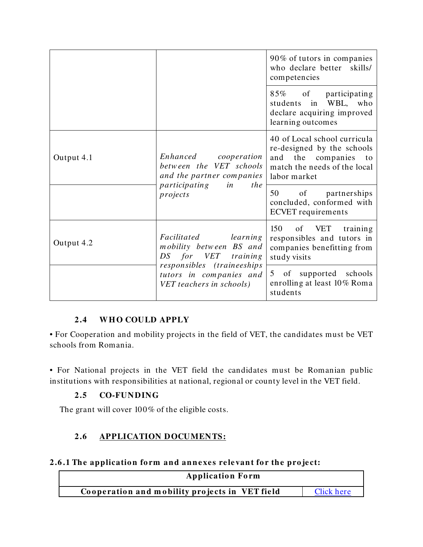|                                                                                   |                                                                                                                            | 90% of tutors in companies<br>who declare better skills/<br>competencies                                                                 |
|-----------------------------------------------------------------------------------|----------------------------------------------------------------------------------------------------------------------------|------------------------------------------------------------------------------------------------------------------------------------------|
|                                                                                   |                                                                                                                            | 85% of participating<br>students in WBL, who<br>declare acquiring improved<br>learning outcomes                                          |
| Output 4.1                                                                        | Enhanced cooperation<br>between the VET schools<br>and the partner companies<br>participating in<br><i>the</i><br>projects | 40 of Local school curricula<br>re-designed by the schools<br>the companies<br>and<br>to<br>match the needs of the local<br>labor market |
|                                                                                   |                                                                                                                            | 50<br>of partnerships<br>concluded, conformed with<br><b>ECVET</b> requirements                                                          |
| Output 4.2                                                                        | Facilitated learning<br>mobility between BS and<br>DS for VET<br>training                                                  | 150<br>of VET training<br>responsibles and tutors in<br>companies benefitting from<br>study visits                                       |
| responsibles (traineeships<br>tutors in companies and<br>VET teachers in schools) | 5 of supported schools<br>enrolling at least 10% Roma<br>students                                                          |                                                                                                                                          |

## **2 .4 W H O COULD APPLY**

• For Cooperation and mobility projects in the field of VET, the candidates must be VET schools from Romania.

• For National projects in the VET field the candidates must be Romanian public institutions with responsibilities at national, regional or county level in the VET field.

## **2 .5 CO-FUNDING**

The grant will cover 100% of the eligible costs.

# **2 .6 APPLICATION DOCUMENTS:**

## 2.6.1 The application form and annexes relevant for the project:

| <b>Application Form</b>                        |            |  |
|------------------------------------------------|------------|--|
| Cooperation and mobility projects in VET field | Click here |  |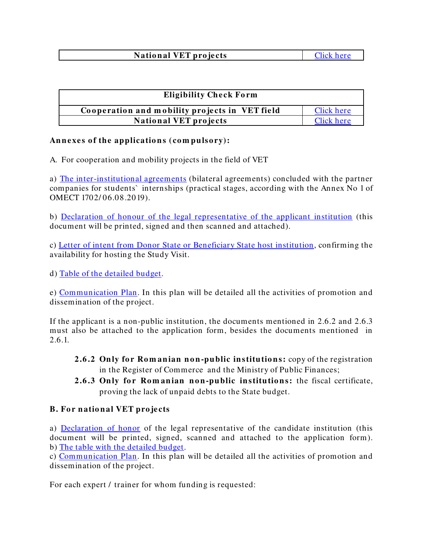### **National VET projects** [Click here](https://bit.ly/SEE_VET2021_EN)

| <b>Eligibility Check Form</b>                  |            |  |
|------------------------------------------------|------------|--|
| Cooperation and mobility projects in VET field | Click here |  |
| <b>National VET projects</b>                   | Click here |  |

### Annexes of the applications (compulsory):

A. For cooperation and mobility projects in the field of VET

a) [The inter-institutional agreements](https://bit.ly/SEE_VET2021_EN) (bilateral agreements) concluded with the partner companies for students` internships (practical stages, according with the Annex No 1 of OMECT 1702/ 06.08.2019).

b) [Declaration of honour of the legal representative of the applicant institution](https://bit.ly/SEE_VET2021_EN) (this document will be printed, signed and then scanned and attached).

c) [Letter of intent from Donor State](https://bit.ly/SEE_VET2021_EN) or Beneficiary State host institution, confirming the availability for hosting the Study Visit.

d) [Table of the detailed](https://bit.ly/SEE_VET2021_EN) budget.

e) [Communication Plan.](https://bit.ly/SEE_VET2021_EN) In this plan will be detailed all the activities of promotion and dissemination of the project.

If the applicant is a non-public institution, the documents mentioned in 2.6.2 and 2.6.3 must also be attached to the application form, besides the documents mentioned in 2.6.1.

- **2.6.2 Only for Romanian non-public institutions:** copy of the registration in the Register of Commerce and the Ministry of Public Finances;
- **2.6.3 Only for Romanian non-public institutions:** the fiscal certificate, proving the lack of unpaid debts to the State budget.

#### **B. For national VET projects**

a) [Declaration of honor](https://bit.ly/SEE_VET2021_EN) of the legal representative of the candidate institution (this document will be printed, signed, scanned and attached to the application form). b) [The table with the detailed budget.](https://bit.ly/SEE_VET2021_EN)

c) [Communication Plan.](https://bit.ly/SEE_VET2021_EN) In this plan will be detailed all the activities of promotion and dissemination of the project.

For each expert / trainer for whom funding is requested: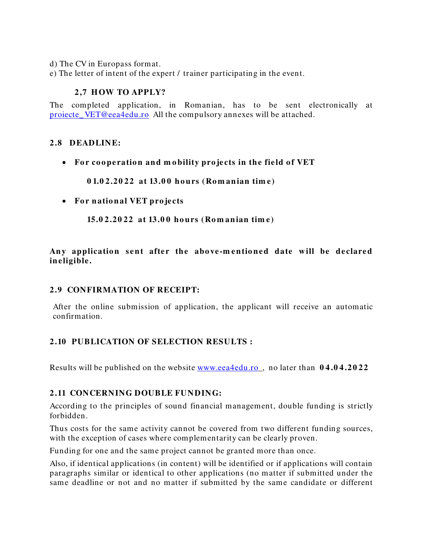- d) The CV in Europass format.
- e) The letter of intent of the expert / trainer participating in the event.

#### **2 ,7 H OW TO APPLY?**

The completed application, in Romanian, has to be sent electronically at proiecte VET@eea4edu.ro All the compulsory annexes will be attached.

#### **2 .8 DEADLINE:**

• For cooperation and mobility projects in the field of VET

**0 1.0 2 .2 0 2 2 at 13.0 0 ho urs (Ro m an ian tim e)**

• For national VET projects

**15.0 2 .2 0 22 at 13.0 0 ho urs (Ro m an ian tim e )**

Any application sent after the above-mentioned date will be declared **in e ligible .** 

#### **2 .9 CONFIRMATION OF RECEIPT:**

After the online submission of application, the applicant will receive an automatic confirmation.

#### **2 .10 PUBLICATION OF SELECTION RESULTS :**

Results will be published on the website [www.eea4edu.ro](http://www.eea4edu.ro/) , no later than **0 4 .0 4 .2 0 2 2**

#### **2 .11 CONCERNING DOUBLE FUN DING:**

According to the principles of sound financial management, double funding is strictly forbidden.

Thus costs for the same activity cannot be covered from two different funding sources, with the exception of cases where complementarity can be clearly proven.

Funding for one and the same project cannot be granted more than once.

Also, if identical applications (in content) will be identified or if applications will contain paragraphs similar or identical to other applications (no matter if submitted under the same deadline or not and no matter if submitted by the same candidate or different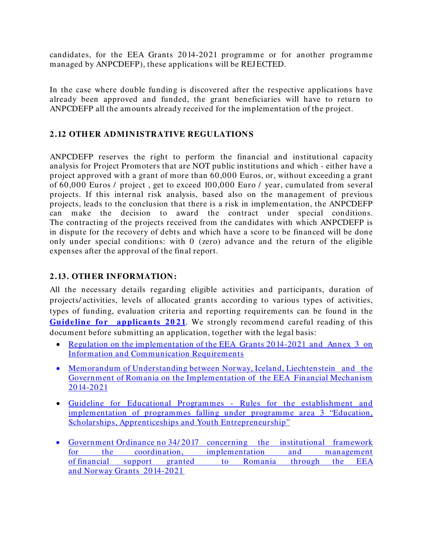candidates, for the EEA Grants 2014-2021 programme or for another programme managed by ANPCDEFP), these applications will be REJ ECTED.

In the case where double funding is discovered after the respective applications have already been approved and funded, the grant beneficiaries will have to return to ANPCDEFP all the amounts already received for the implementation of the project.

### **2 .12 OTH ER ADMINISTRATIVE REGULATIONS**

ANPCDEFP reserves the right to perform the financial and institutional capacity analysis for Project Promoters that are NOT public institutions and which - either have a project approved with a grant of more than 60,000 Euros, or, without exceeding a grant of 60,000 Euros / project , get to exceed 100,000 Euro / year, cumulated from several projects. If this internal risk analysis, based also on the management of previous projects, leads to the conclusion that there is a risk in implementation, the ANPCDEFP can make the decision to award the contract under special conditions. The contracting of the projects received from the candidates with which ANPCDEFP is in dispute for the recovery of debts and which have a score to be financed will be done only under special conditions: with 0 (zero) advance and the return of the eligible expenses after the approval of the final report.

### **2 .13. OTH ER INFORMATION:**

All the necessary details regarding eligible activities and participants, duration of projects/ activities, levels of allocated grants according to various types of activities, types of funding, evaluation criteria and reporting requirements can be found in the **Guideline for applicants 2021**. We strongly recommend careful reading of this document before submitting an application, together with the legal basis:

- Regulation on the implementation of the EEA Grants 2014-2021 and Annex 3 on [Information and Communication Requirements](https://eeagrants.org/resources/regulation-implementation-eea-grants-2014-2021)
- Memorandum of Understanding between Norway, Iceland, Liechtenstein and the [Government of Romania on the Implementation of the EEA Financial Mechanism](https://eeagrants.org/resources/romania-memorandum-understanding-eea-grants-2014-2021)  [2014-2021](https://eeagrants.org/resources/romania-memorandum-understanding-eea-grants-2014-2021)
- [Guideline for Educational Programmes Rules for the establishment and](https://eeagrants.org/resources/2014-2021-guideline-educational-programmes)  [implementation of programmes falling under programme area 3 "Education,](https://eeagrants.org/resources/2014-2021-guideline-educational-programmes)  Scholarships, Apprenticeships and Youth Entrepreneurship"
- Government Ordinance no 34/2017 concerning the institutional framework [for the coordination, implementation and management](https://www.eeagrants.ro/files/upload-dir/59-oug---34-2017-cu-modif-31102017.pdf)  of [financial support granted to Romania through the EEA](https://www.eeagrants.ro/files/upload-dir/59-oug---34-2017-cu-modif-31102017.pdf)  and Norway [Grants 2014-2021](https://www.eeagrants.ro/files/upload-dir/59-oug---34-2017-cu-modif-31102017.pdf)